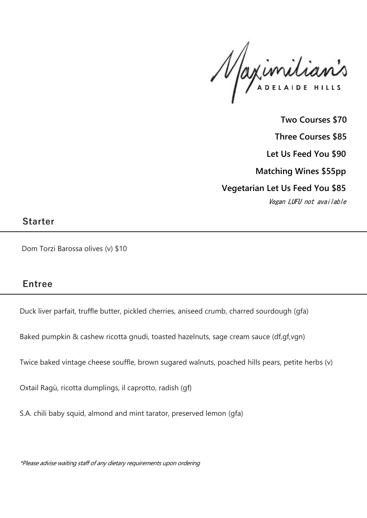Maximilianis

**Two Courses \$70 Three Courses \$85 Let Us Feed You \$90 Matching Wines \$55pp Vegetarian Let Us Feed You \$85** Vegan LUFU not available

#### **Starter**

Dom Torzi Barossa olives (v) \$10

# **Entree**

Duck liver parfait, truffle butter, pickled cherries, aniseed crumb, charred sourdough (gfa)

Baked pumpkin & cashew ricotta gnudi, toasted hazelnuts, sage cream sauce (df,gf,vgn)

Twice baked vintage cheese souffle, brown sugared walnuts, poached hills pears, petite herbs (v)

Oxtail Ragù, ricotta dumplings, il caprotto, radish (gf)

S.A. chili baby squid, almond and mint tarator, preserved lemon (gfa)

\*Please advise waiting staff of any dietary requirements upon ordering